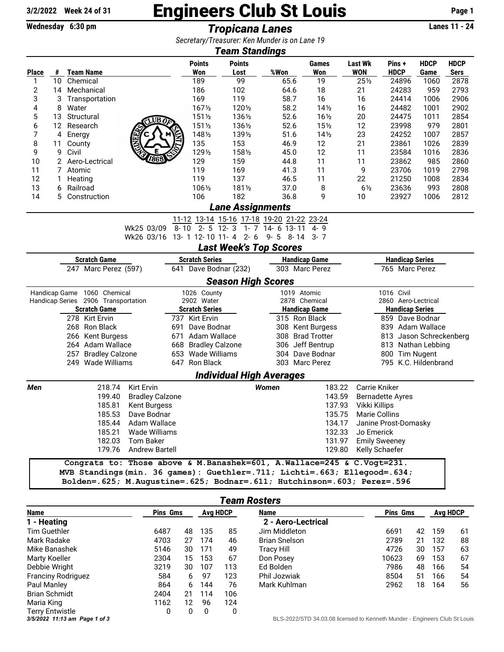## 3/2/2022 Week 24 of 31 **Engineers Club St Louis** Page 1<br>Wednesday 6:30 pm **Fropicana Lanes** Trans 11 - 24

Wednesday 6:30 pm **Tropicana Lanes** 

*Secretary/Treasurer: Ken Munder is on Lane 19*

| <b>Team Standings</b>                        |                 |                          |                                     |                                                                           |                       |                       |                           |                                               |                      |                        |                         |             |             |  |  |
|----------------------------------------------|-----------------|--------------------------|-------------------------------------|---------------------------------------------------------------------------|-----------------------|-----------------------|---------------------------|-----------------------------------------------|----------------------|------------------------|-------------------------|-------------|-------------|--|--|
|                                              |                 |                          |                                     |                                                                           |                       | <b>Points</b>         | <b>Points</b>             |                                               | Games                | <b>Last Wk</b>         | Pins +                  | <b>HDCP</b> | <b>HDCP</b> |  |  |
| Place                                        | #               |                          | <b>Team Name</b>                    |                                                                           |                       | Won                   | Lost                      | %Won                                          | Won                  | <b>WON</b>             | <b>HDCP</b>             | Game        | <b>Sers</b> |  |  |
| 1                                            | 10 <sup>°</sup> |                          | Chemical                            |                                                                           |                       | 189                   | 99                        | 65.6                                          | 19                   | $25\frac{1}{2}$        | 24896                   | 1060        | 2878        |  |  |
| 2                                            | 14              |                          | Mechanical                          |                                                                           |                       | 186                   | 102                       | 64.6                                          | 18                   | 21                     | 24283                   | 959         | 2793        |  |  |
| 3                                            | 3               |                          | Transportation                      |                                                                           |                       | 169                   | 119                       | 58.7                                          | 16                   | 16                     | 24414                   | 1006        | 2906        |  |  |
| 4                                            | 8               | Water                    |                                     |                                                                           |                       | 1671/2                | 1201/2                    | 58.2                                          | $14\frac{1}{2}$      | 16                     | 24482                   | 1001        | 2902        |  |  |
| 5                                            | 13              | Structural               |                                     |                                                                           |                       | 1511/2                | 1361/2                    | 52.6                                          | 161/2                | 20                     | 24475                   | 1011        | 2854        |  |  |
| 6                                            | 12              |                          | Research                            |                                                                           |                       | 1511/2                | 1361/2                    | 52.6                                          | 15 <sub>2</sub>      | 12                     | 23998                   | 979         | 2801        |  |  |
| 7                                            | 4               | Energy                   |                                     |                                                                           |                       | 1481/2                | 1391/2                    | 51.6                                          | $14\frac{1}{2}$      | 23                     | 24252                   | 1007        | 2857        |  |  |
| 8                                            | 11              | County                   |                                     |                                                                           |                       | 135                   | 153                       | 46.9                                          | 12                   | 21                     | 23861                   | 1026        | 2839        |  |  |
| 9                                            | 9               | Civil                    |                                     |                                                                           |                       | 1291/2                | 1581/2                    | 45.0                                          | 12                   | 11                     | 23584                   | 1016        | 2836        |  |  |
| 10                                           | $\mathbf{2}^-$  |                          | Aero-Lectrical                      |                                                                           |                       | 129                   | 159                       | 44.8                                          | 11                   | 11                     | 23862                   | 985         | 2860        |  |  |
| 11                                           | 7               | Atomic                   |                                     |                                                                           |                       | 119                   | 169                       | 41.3                                          | 11                   | 9                      | 23706                   | 1019        | 2798        |  |  |
| 12                                           | 1               | Heating                  |                                     |                                                                           |                       | 119                   | 137                       | 46.5                                          | 11                   | 22                     | 21250                   | 1008        | 2834        |  |  |
| 13                                           | 6               | Railroad                 |                                     |                                                                           |                       | 1061/2                | 1811/2                    | 37.0                                          | 8                    | $6\frac{1}{2}$         | 23636                   | 993         | 2808        |  |  |
| 14                                           |                 |                          | 5 Construction                      |                                                                           |                       | 106                   | 182                       | 36.8                                          | 9                    | 10                     | 23927                   | 1006        | 2812        |  |  |
| <b>Lane Assignments</b>                      |                 |                          |                                     |                                                                           |                       |                       |                           |                                               |                      |                        |                         |             |             |  |  |
|                                              |                 |                          |                                     |                                                                           |                       |                       |                           | 11-12 13-14 15-16 17-18 19-20 21-22 23-24     |                      |                        |                         |             |             |  |  |
|                                              |                 |                          |                                     | Wk25 03/09                                                                | $8 - 10$              | $2 - 5$ 12 - 3        |                           | 1- 7 14- 6 13-11                              | 4-9                  |                        |                         |             |             |  |  |
|                                              |                 |                          |                                     | Wk26 03/16                                                                |                       |                       | 13-112-1011-42-6          | $9 - 5$ $8 - 14$ $3 - 7$                      |                      |                        |                         |             |             |  |  |
|                                              |                 |                          |                                     |                                                                           |                       |                       |                           | <b>Last Week's Top Scores</b>                 |                      |                        |                         |             |             |  |  |
| <b>Scratch Game</b><br><b>Scratch Series</b> |                 |                          |                                     |                                                                           |                       |                       |                           |                                               | <b>Handicap Game</b> |                        | <b>Handicap Series</b>  |             |             |  |  |
| 247 Marc Perez (597)                         |                 |                          |                                     |                                                                           |                       | 641 Dave Bodnar (232) |                           |                                               | 303 Marc Perez       |                        | 765 Marc Perez          |             |             |  |  |
|                                              |                 |                          |                                     |                                                                           |                       |                       | <b>Season High Scores</b> |                                               |                      |                        |                         |             |             |  |  |
|                                              |                 |                          | Handicap Game 1060 Chemical         |                                                                           |                       | 1026 County           |                           | 1019 Atomic                                   |                      | 1016 Civil             |                         |             |             |  |  |
|                                              |                 |                          | Handicap Series 2906 Transportation |                                                                           |                       | 2902 Water            |                           | 2878 Chemical                                 |                      | 2860 Aero-Lectrical    |                         |             |             |  |  |
| <b>Scratch Game</b>                          |                 |                          |                                     |                                                                           | <b>Scratch Series</b> |                       |                           | <b>Handicap Game</b>                          |                      | <b>Handicap Series</b> |                         |             |             |  |  |
| 278 Kirt Ervin                               |                 |                          |                                     | 737 Kirt Ervin                                                            |                       | 315 Ron Black         |                           |                                               | 859 Dave Bodnar      |                        |                         |             |             |  |  |
| 268 Ron Black                                |                 |                          | 691                                 | Dave Bodnar                                                               |                       |                       | 308 Kent Burgess          |                                               | 839 Adam Wallace     |                        |                         |             |             |  |  |
| 266 Kent Burgess                             |                 |                          | 671                                 | Adam Wallace                                                              |                       |                       | 308 Brad Trotter          | 813 Jason Schreckenberg<br>813 Nathan Lebbing |                      |                        |                         |             |             |  |  |
| 264 Adam Wallace                             |                 |                          |                                     | 668 Bradley Calzone<br>653 Wade Williams                                  |                       |                       | 306 Jeff Bentrup          |                                               |                      |                        |                         |             |             |  |  |
| 257 Bradley Calzone                          |                 |                          |                                     |                                                                           |                       |                       | 304 Dave Bodnar           |                                               | 800 Tim Nugent       |                        |                         |             |             |  |  |
|                                              |                 |                          | 249 Wade Williams                   |                                                                           |                       | 647 Ron Black         |                           |                                               | 303 Marc Perez       |                        | 795 K.C. Hildenbrand    |             |             |  |  |
|                                              |                 |                          |                                     |                                                                           |                       |                       |                           | <b>Individual High Averages</b>               |                      |                        |                         |             |             |  |  |
| Men                                          |                 |                          | 218.74                              | Kirt Ervin                                                                |                       |                       |                           | <b>Women</b>                                  | 183.22               |                        | Carrie Kniker           |             |             |  |  |
|                                              |                 |                          | 199.40                              | <b>Bradley Calzone</b>                                                    |                       |                       |                           |                                               | 143.59               |                        | <b>Bernadette Ayres</b> |             |             |  |  |
|                                              |                 |                          | 185.81                              | <b>Kent Burgess</b>                                                       |                       |                       |                           |                                               | 137.93               | Vikki Killips          |                         |             |             |  |  |
|                                              |                 |                          | 185.53                              | Dave Bodnar                                                               |                       |                       |                           |                                               | 135.75               |                        | Marie Collins           |             |             |  |  |
|                                              |                 | 185.44<br>Adam Wallace   |                                     |                                                                           |                       |                       |                           |                                               | 134.17               | Janine Prost-Domasky   |                         |             |             |  |  |
|                                              |                 |                          | 185.21                              | Wade Williams                                                             |                       |                       |                           |                                               | 132.33               | Jo Emerick             |                         |             |             |  |  |
| 182.03                                       |                 |                          | Tom Baker                           |                                                                           |                       |                       |                           | 131.97                                        |                      | <b>Emily Sweeney</b>   |                         |             |             |  |  |
|                                              |                 | 179.76<br>Andrew Bartell |                                     |                                                                           |                       |                       |                           |                                               | 129.80               | Kelly Schaefer         |                         |             |             |  |  |
|                                              |                 |                          |                                     | Congrats to: Those above & M. Banashek=601, A. Wallace=245 & C. Vogt=231. |                       |                       |                           |                                               |                      |                        |                         |             |             |  |  |
|                                              |                 |                          |                                     | MVB Standings(min. 36 games): Guethler=.711; Lichti=.663; Ellegood=.634;  |                       |                       |                           |                                               |                      |                        |                         |             |             |  |  |
|                                              |                 |                          |                                     | Bolden=.625; M.Augustine=.625; Bodnar=.611; Hutchinson=.603; Perez=.596   |                       |                       |                           |                                               |                      |                        |                         |             |             |  |  |

| <b>Team Rosters</b>           |                 |                 |     |             |                                                                         |                 |    |     |   |  |
|-------------------------------|-----------------|-----------------|-----|-------------|-------------------------------------------------------------------------|-----------------|----|-----|---|--|
| <b>Name</b>                   | <b>Pins Gms</b> | <b>Avg HDCP</b> |     | <b>Name</b> | <b>Pins Gms</b>                                                         | <b>Avg HDCP</b> |    |     |   |  |
| - Heating                     |                 |                 |     |             | 2 - Aero-Lectrical                                                      |                 |    |     |   |  |
| Tim Guethler                  | 6487            | 48              | 135 | 85          | Jim Middleton                                                           | 6691            | 42 | 159 | 6 |  |
| Mark Radake                   | 4703            | 27              | 174 | 46          | <b>Brian Snelson</b>                                                    | 2789            | 21 | 132 | 8 |  |
| Mike Banashek                 | 5146            | 30              | 171 | 49          | Tracy Hill                                                              | 4726            | 30 | 157 | 6 |  |
| <b>Marty Koeller</b>          | 2304            | 15              | 153 | 67          | Don Posey                                                               | 10623           | 69 | 153 | 6 |  |
| Debbie Wright                 | 3219            | 30              | 107 | 113         | Ed Bolden                                                               | 7986            | 48 | 166 | 5 |  |
| <b>Franciny Rodriguez</b>     | 584             | 6               | 97  | 123         | Phil Jozwiak                                                            | 8504            | 51 | 166 | 5 |  |
| Paul Manley                   | 864             | 6               | 144 | 76          | Mark Kuhlman                                                            | 2962            | 18 | 164 | 5 |  |
| <b>Brian Schmidt</b>          | 2404            | 21              | 114 | 106         |                                                                         |                 |    |     |   |  |
| Maria King                    | 1162            | 12 <sup>2</sup> | 96  | 124         |                                                                         |                 |    |     |   |  |
| Terry Entwistle               | 0               | 0               | 0   | 0           |                                                                         |                 |    |     |   |  |
| 3/5/2022 11:13 am Page 1 of 3 |                 |                 |     |             | BLS-2022/STD 34.03.08 licensed to Kenneth Munder - Engineers Club St Lo |                 |    |     |   |  |

| <b>Name</b>          | <b>Pins Gms</b> | Ava HDCP |     |    |
|----------------------|-----------------|----------|-----|----|
| 2 - Aero-Lectrical   |                 |          |     |    |
| Jim Middleton        | 6691            | 42       | 159 | 61 |
| <b>Brian Snelson</b> | 2789            | 21       | 132 | 88 |
| <b>Tracy Hill</b>    | 4726            | 30       | 157 | 63 |
| Don Posey            | 10623           | 69       | 153 | 67 |
| Ed Bolden            | 7986            | 48       | 166 | 54 |
| Phil Jozwiak         | 8504            | 51       | 166 | 54 |
| Mark Kuhlman         | 2962            | 18       | 164 | 56 |